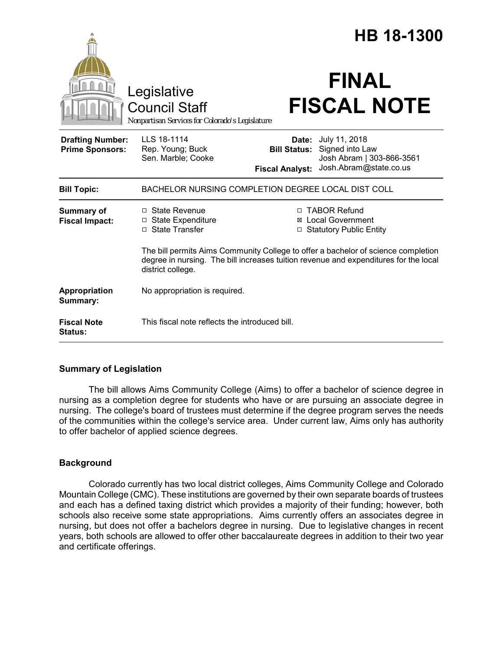|                                                   |                                                                                                           | <b>HB 18-1300</b>                                      |                                                                                                                                                                  |
|---------------------------------------------------|-----------------------------------------------------------------------------------------------------------|--------------------------------------------------------|------------------------------------------------------------------------------------------------------------------------------------------------------------------|
|                                                   | Legislative<br><b>Council Staff</b><br>Nonpartisan Services for Colorado's Legislature                    |                                                        | <b>FINAL</b><br><b>FISCAL NOTE</b>                                                                                                                               |
| <b>Drafting Number:</b><br><b>Prime Sponsors:</b> | LLS 18-1114<br>Rep. Young; Buck<br>Sen. Marble; Cooke                                                     | Date:<br><b>Bill Status:</b><br><b>Fiscal Analyst:</b> | July 11, 2018<br>Signed into Law<br>Josh Abram   303-866-3561<br>Josh.Abram@state.co.us                                                                          |
| <b>Bill Topic:</b>                                | BACHELOR NURSING COMPLETION DEGREE LOCAL DIST COLL                                                        |                                                        |                                                                                                                                                                  |
| <b>Summary of</b><br><b>Fiscal Impact:</b>        | $\Box$ State Revenue<br>□ State Expenditure<br>□ State Transfer                                           | ⊠                                                      | □ TABOR Refund<br><b>Local Government</b><br><b>Statutory Public Entity</b><br>The bill permits Aims Community College to offer a bachelor of science completion |
|                                                   | degree in nursing. The bill increases tuition revenue and expenditures for the local<br>district college. |                                                        |                                                                                                                                                                  |
| Appropriation<br>Summary:                         | No appropriation is required.                                                                             |                                                        |                                                                                                                                                                  |
| <b>Fiscal Note</b><br><b>Status:</b>              | This fiscal note reflects the introduced bill.                                                            |                                                        |                                                                                                                                                                  |

# **Summary of Legislation**

The bill allows Aims Community College (Aims) to offer a bachelor of science degree in nursing as a completion degree for students who have or are pursuing an associate degree in nursing. The college's board of trustees must determine if the degree program serves the needs of the communities within the college's service area. Under current law, Aims only has authority to offer bachelor of applied science degrees.

# **Background**

Colorado currently has two local district colleges, Aims Community College and Colorado Mountain College (CMC). These institutions are governed by their own separate boards of trustees and each has a defined taxing district which provides a majority of their funding; however, both schools also receive some state appropriations. Aims currently offers an associates degree in nursing, but does not offer a bachelors degree in nursing. Due to legislative changes in recent years, both schools are allowed to offer other baccalaureate degrees in addition to their two year and certificate offerings.